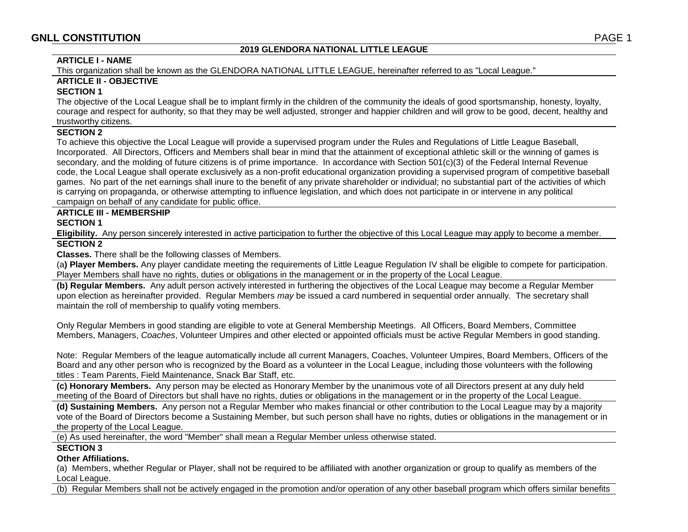## **2019 GLENDORA NATIONAL LITTLE LEAGUE**

### **ARTICLE I - NAME**

This organization shall be known as the GLENDORA NATIONAL LITTLE LEAGUE, hereinafter referred to as "Local League."

## **ARTICLE II - OBJECTIVE**

### **SECTION 1**

The objective of the Local League shall be to implant firmly in the children of the community the ideals of good sportsmanship, honesty, loyalty, courage and respect for authority, so that they may be well adjusted, stronger and happier children and will grow to be good, decent, healthy and trustworthy citizens.

# **SECTION 2**

To achieve this objective the Local League will provide a supervised program under the Rules and Regulations of Little League Baseball, Incorporated. All Directors, Officers and Members shall bear in mind that the attainment of exceptional athletic skill or the winning of games is secondary, and the molding of future citizens is of prime importance. In accordance with Section 501(c)(3) of the Federal Internal Revenue code, the Local League shall operate exclusively as a non-profit educational organization providing a supervised program of competitive baseball games. No part of the net earnings shall inure to the benefit of any private shareholder or individual; no substantial part of the activities of which is carrying on propaganda, or otherwise attempting to influence legislation, and which does not participate in or intervene in any political campaign on behalf of any candidate for public office.

# **ARTICLE III - MEMBERSHIP**

**SECTION 1**

**Eligibility.** Any person sincerely interested in active participation to further the objective of this Local League may apply to become a member. **SECTION 2**

**Classes.** There shall be the following classes of Members.

(a**) Player Members.** Any player candidate meeting the requirements of Little League Regulation IV shall be eligible to compete for participation. Player Members shall have no rights, duties or obligations in the management or in the property of the Local League.

**(b) Regular Members.** Any adult person actively interested in furthering the objectives of the Local League may become a Regular Member upon election as hereinafter provided. Regular Members *may* be issued a card numbered in sequential order annually. The secretary shall maintain the roll of membership to qualify voting members.

Only Regular Members in good standing are eligible to vote at General Membership Meetings. All Officers, Board Members, Committee Members, Managers, *Coaches*, Volunteer Umpires and other elected or appointed officials must be active Regular Members in good standing.

Note: Regular Members of the league automatically include all current Managers, Coaches, Volunteer Umpires, Board Members, Officers of the Board and any other person who is recognized by the Board as a volunteer in the Local League, including those volunteers with the following titles : Team Parents, Field Maintenance, Snack Bar Staff, etc.

**(c) Honorary Members.** Any person may be elected as Honorary Member by the unanimous vote of all Directors present at any duly held meeting of the Board of Directors but shall have no rights, duties or obligations in the management or in the property of the Local League.

**(d) Sustaining Members.** Any person not a Regular Member who makes financial or other contribution to the Local League may by a majority vote of the Board of Directors become a Sustaining Member, but such person shall have no rights, duties or obligations in the management or in the property of the Local League.

(e) As used hereinafter, the word "Member" shall mean a Regular Member unless otherwise stated.

## **SECTION 3**

## **Other Affiliations.**

(a) Members, whether Regular or Player, shall not be required to be affiliated with another organization or group to qualify as members of the Local League.

(b) Regular Members shall not be actively engaged in the promotion and/or operation of any other baseball program which offers similar benefits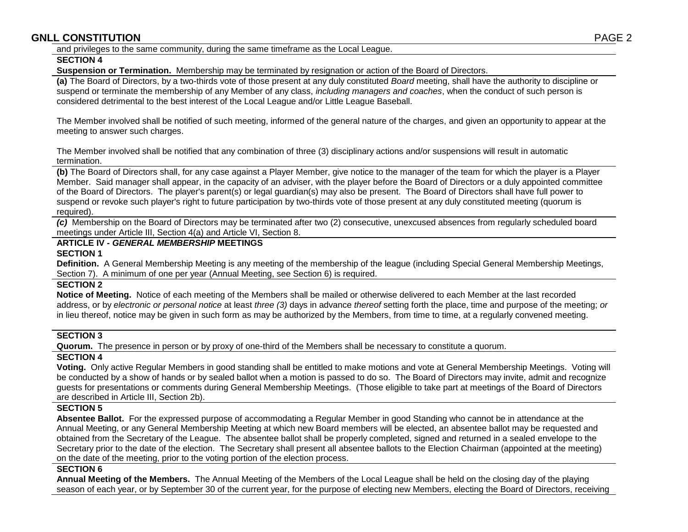and privileges to the same community, during the same timeframe as the Local League.

#### **SECTION 4**

**Suspension or Termination.** Membership may be terminated by resignation or action of the Board of Directors.

**(a)** The Board of Directors, by a two-thirds vote of those present at any duly constituted *Board* meeting, shall have the authority to discipline or suspend or terminate the membership of any Member of any class, *including managers and coaches*, when the conduct of such person is considered detrimental to the best interest of the Local League and/or Little League Baseball.

The Member involved shall be notified of such meeting, informed of the general nature of the charges, and given an opportunity to appear at the meeting to answer such charges.

The Member involved shall be notified that any combination of three (3) disciplinary actions and/or suspensions will result in automatic termination.

**(b)** The Board of Directors shall, for any case against a Player Member, give notice to the manager of the team for which the player is a Player Member. Said manager shall appear, in the capacity of an adviser, with the player before the Board of Directors or a duly appointed committee of the Board of Directors. The player's parent(s) or legal guardian(s) may also be present.The Board of Directors shall have full power to suspend or revoke such player's right to future participation by two-thirds vote of those present at any duly constituted meeting (quorum is required).

*(c)* Membership on the Board of Directors may be terminated after two (2) consecutive, unexcused absences from regularly scheduled board meetings under Article III, Section 4(a) and Article VI, Section 8.

# **ARTICLE IV -** *GENERAL MEMBERSHIP* **MEETINGS**

**SECTION 1**

**Definition.** A General Membership Meeting is any meeting of the membership of the league (including Special General Membership Meetings, Section 7). A minimum of one per year (Annual Meeting, see Section 6) is required.

#### **SECTION 2**

**Notice of Meeting.** Notice of each meeting of the Members shall be mailed or otherwise delivered to each Member at the last recorded address, or by *electronic or personal notice* at least *three (3)* days in advance *thereof* setting forth the place, time and purpose of the meeting; *or* in lieu thereof, notice may be given in such form as may be authorized by the Members, from time to time, at a regularly convened meeting.

# **SECTION 3**

**Quorum.** The presence in person or by proxy of one-third of the Members shall be necessary to constitute a quorum.

# **SECTION 4**

**Voting.** Only active Regular Members in good standing shall be entitled to make motions and vote at General Membership Meetings. Voting will be conducted by a show of hands or by sealed ballot when a motion is passed to do so. The Board of Directors may invite, admit and recognize guests for presentations or comments during General Membership Meetings. (Those eligible to take part at meetings of the Board of Directors are described in Article III, Section 2b).

## **SECTION 5**

**Absentee Ballot.** For the expressed purpose of accommodating a Regular Member in good Standing who cannot be in attendance at the Annual Meeting, or any General Membership Meeting at which new Board members will be elected, an absentee ballot may be requested and obtained from the Secretary of the League. The absentee ballot shall be properly completed, signed and returned in a sealed envelope to the Secretary prior to the date of the election. The Secretary shall present all absentee ballots to the Election Chairman (appointed at the meeting) on the date of the meeting, prior to the voting portion of the election process.

## **SECTION 6**

**Annual Meeting of the Members.** The Annual Meeting of the Members of the Local League shall be held on the closing day of the playing season of each year, or by September 30 of the current year, for the purpose of electing new Members, electing the Board of Directors, receiving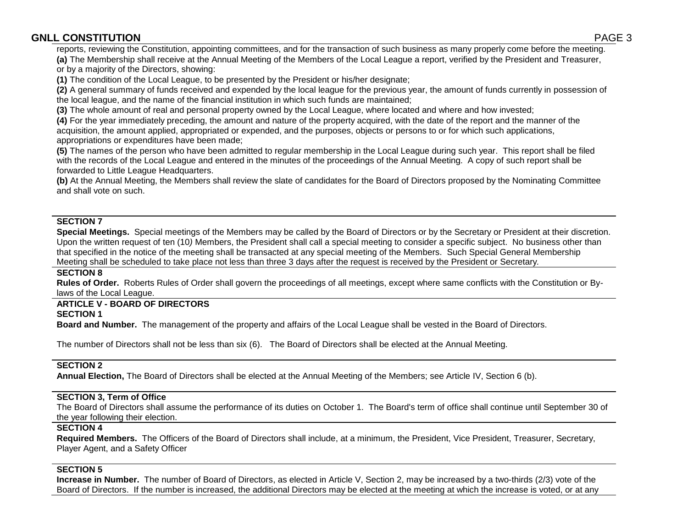reports, reviewing the Constitution, appointing committees, and for the transaction of such business as many properly come before the meeting. **(a)** The Membership shall receive at the Annual Meeting of the Members of the Local League a report, verified by the President and Treasurer,

or by a majority of the Directors, showing:

**(1)** The condition of the Local League, to be presented by the President or his/her designate;

**(2)** A general summary of funds received and expended by the local league for the previous year, the amount of funds currently in possession of the local league, and the name of the financial institution in which such funds are maintained;

**(3)** The whole amount of real and personal property owned by the Local League, where located and where and how invested;

**(4)** For the year immediately preceding, the amount and nature of the property acquired, with the date of the report and the manner of the acquisition, the amount applied, appropriated or expended, and the purposes, objects or persons to or for which such applications, appropriations or expenditures have been made;

**(5)** The names of the person who have been admitted to regular membership in the Local League during such year. This report shall be filed with the records of the Local League and entered in the minutes of the proceedings of the Annual Meeting. A copy of such report shall be forwarded to Little League Headquarters.

**(b)** At the Annual Meeting, the Members shall review the slate of candidates for the Board of Directors proposed by the Nominating Committee and shall vote on such.

# **SECTION 7**

**Special Meetings.** Special meetings of the Members may be called by the Board of Directors or by the Secretary or President at their discretion. Upon the written request of ten (10*)* Members, the President shall call a special meeting to consider a specific subject. No business other than that specified in the notice of the meeting shall be transacted at any special meeting of the Members. Such Special General Membership Meeting shall be scheduled to take place not less than three 3 days after the request is received by the President or Secretary*.*

## **SECTION 8**

**Rules of Order.** Roberts Rules of Order shall govern the proceedings of all meetings, except where same conflicts with the Constitution or Bylaws of the Local League.

#### **ARTICLE V - BOARD OF DIRECTORS SECTION 1**

**Board and Number.** The management of the property and affairs of the Local League shall be vested in the Board of Directors.

The number of Directors shall not be less than six (6). The Board of Directors shall be elected at the Annual Meeting.

# **SECTION 2**

**Annual Election,** The Board of Directors shall be elected at the Annual Meeting of the Members; see Article IV, Section 6 (b).

# **SECTION 3, Term of Office**

The Board of Directors shall assume the performance of its duties on October 1. The Board's term of office shall continue until September 30 of the year following their election.

# **SECTION 4**

**Required Members.** The Officers of the Board of Directors shall include, at a minimum, the President, Vice President, Treasurer, Secretary, Player Agent, and a Safety Officer

# **SECTION 5**

**Increase in Number.** The number of Board of Directors, as elected in Article V, Section 2, may be increased by a two-thirds (2/3) vote of the Board of Directors. If the number is increased, the additional Directors may be elected at the meeting at which the increase is voted, or at any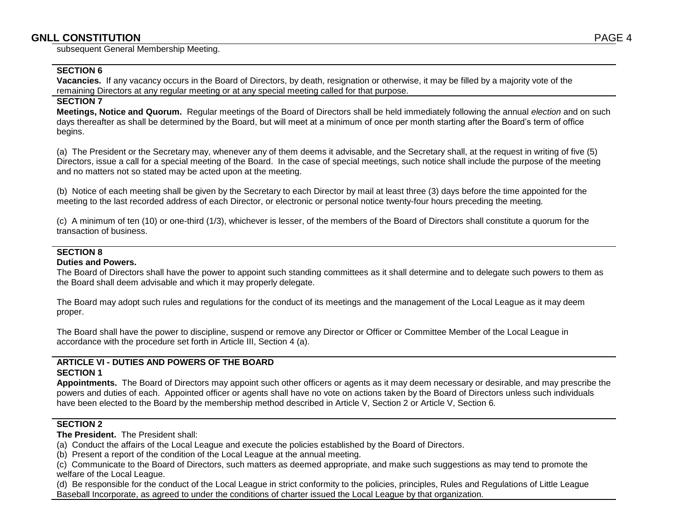subsequent General Membership Meeting.

### **SECTION 6**

**Vacancies.** If any vacancy occurs in the Board of Directors, by death, resignation or otherwise, it may be filled by a majority vote of the remaining Directors at any regular meeting or at any special meeting called for that purpose.

#### **SECTION 7**

**Meetings, Notice and Quorum.** Regular meetings of the Board of Directors shall be held immediately following the annual *election* and on such days thereafter as shall be determined by the Board, but will meet at a minimum of once per month starting after the Board's term of office begins.

(a) The President or the Secretary may, whenever any of them deems it advisable, and the Secretary shall, at the request in writing of five (5) Directors, issue a call for a special meeting of the Board. In the case of special meetings, such notice shall include the purpose of the meeting and no matters not so stated may be acted upon at the meeting.

(b) Notice of each meeting shall be given by the Secretary to each Director by mail at least three (3) days before the time appointed for the meeting to the last recorded address of each Director, or electronic or personal notice twenty-four hours preceding the meeting*.*

(c) A minimum of ten (10) or one-third (1/3), whichever is lesser, of the members of the Board of Directors shall constitute a quorum for the transaction of business.

# **SECTION 8**

## **Duties and Powers.**

The Board of Directors shall have the power to appoint such standing committees as it shall determine and to delegate such powers to them as the Board shall deem advisable and which it may properly delegate.

The Board may adopt such rules and regulations for the conduct of its meetings and the management of the Local League as it may deem proper.

The Board shall have the power to discipline, suspend or remove any Director or Officer or Committee Member of the Local League in accordance with the procedure set forth in Article III, Section 4 (a).

## **ARTICLE VI - DUTIES AND POWERS OF THE BOARD SECTION 1**

**Appointments.** The Board of Directors may appoint such other officers or agents as it may deem necessary or desirable, and may prescribe the powers and duties of each. Appointed officer or agents shall have no vote on actions taken by the Board of Directors unless such individuals have been elected to the Board by the membership method described in Article V, Section 2 or Article V, Section 6*.*

#### **SECTION 2**

**The President.** The President shall:

- (a) Conduct the affairs of the Local League and execute the policies established by the Board of Directors.
- (b) Present a report of the condition of the Local League at the annual meeting.
- (c) Communicate to the Board of Directors, such matters as deemed appropriate, and make such suggestions as may tend to promote the welfare of the Local League.

(d) Be responsible for the conduct of the Local League in strict conformity to the policies, principles, Rules and Regulations of Little League Baseball Incorporate, as agreed to under the conditions of charter issued the Local League by that organization.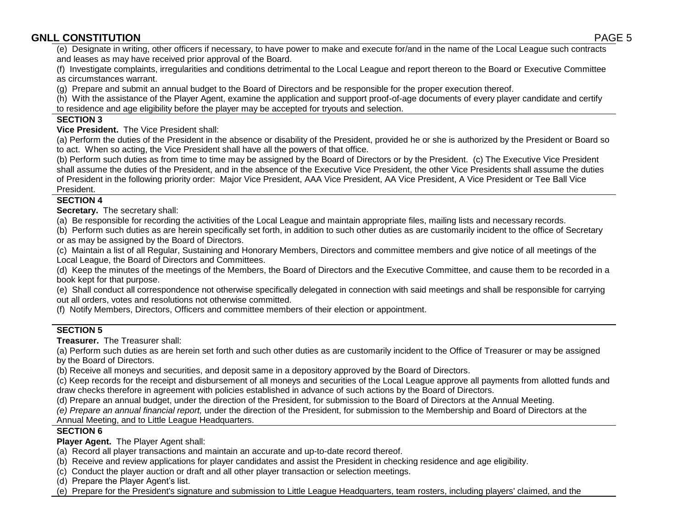(e) Designate in writing, other officers if necessary, to have power to make and execute for/and in the name of the Local League such contracts and leases as may have received prior approval of the Board.

(f) Investigate complaints, irregularities and conditions detrimental to the Local League and report thereon to the Board or Executive Committee as circumstances warrant.

(g) Prepare and submit an annual budget to the Board of Directors and be responsible for the proper execution thereof.

(h) With the assistance of the Player Agent, examine the application and support proof-of-age documents of every player candidate and certify to residence and age eligibility before the player may be accepted for tryouts and selection.

# **SECTION 3**

**Vice President.** The Vice President shall:

(a) Perform the duties of the President in the absence or disability of the President, provided he or she is authorized by the President or Board so to act. When so acting, the Vice President shall have all the powers of that office.

(b) Perform such duties as from time to time may be assigned by the Board of Directors or by the President. (c) The Executive Vice President shall assume the duties of the President, and in the absence of the Executive Vice President, the other Vice Presidents shall assume the duties of President in the following priority order: Major Vice President, AAA Vice President, AA Vice President, A Vice President or Tee Ball Vice President.

# **SECTION 4**

**Secretary.** The secretary shall:

(a) Be responsible for recording the activities of the Local League and maintain appropriate files, mailing lists and necessary records.

(b) Perform such duties as are herein specifically set forth, in addition to such other duties as are customarily incident to the office of Secretary or as may be assigned by the Board of Directors.

(c) Maintain a list of all Regular, Sustaining and Honorary Members, Directors and committee members and give notice of all meetings of the Local League, the Board of Directors and Committees.

(d) Keep the minutes of the meetings of the Members, the Board of Directors and the Executive Committee, and cause them to be recorded in a book kept for that purpose.

(e) Shall conduct all correspondence not otherwise specifically delegated in connection with said meetings and shall be responsible for carrying out all orders, votes and resolutions not otherwise committed.

(f) Notify Members, Directors, Officers and committee members of their election or appointment.

# **SECTION 5**

**Treasurer.** The Treasurer shall:

(a) Perform such duties as are herein set forth and such other duties as are customarily incident to the Office of Treasurer or may be assigned by the Board of Directors.

(b) Receive all moneys and securities, and deposit same in a depository approved by the Board of Directors.

(c) Keep records for the receipt and disbursement of all moneys and securities of the Local League approve all payments from allotted funds and draw checks therefore in agreement with policies established in advance of such actions by the Board of Directors*.* 

(d) Prepare an annual budget, under the direction of the President, for submission to the Board of Directors at the Annual Meeting.

*(e) Prepare an annual financial report,* under the direction of the President, for submission to the Membership and Board of Directors at the

Annual Meeting, and to Little League Headquarters.

# **SECTION 6**

**Player Agent.** The Player Agent shall:

- (a) Record all player transactions and maintain an accurate and up-to-date record thereof.
- (b) Receive and review applications for player candidates and assist the President in checking residence and age eligibility.
- (c) Conduct the player auction or draft and all other player transaction or selection meetings.

(d) Prepare the Player Agent's list.

(e) Prepare for the President's signature and submission to Little League Headquarters, team rosters, including players' claimed, and the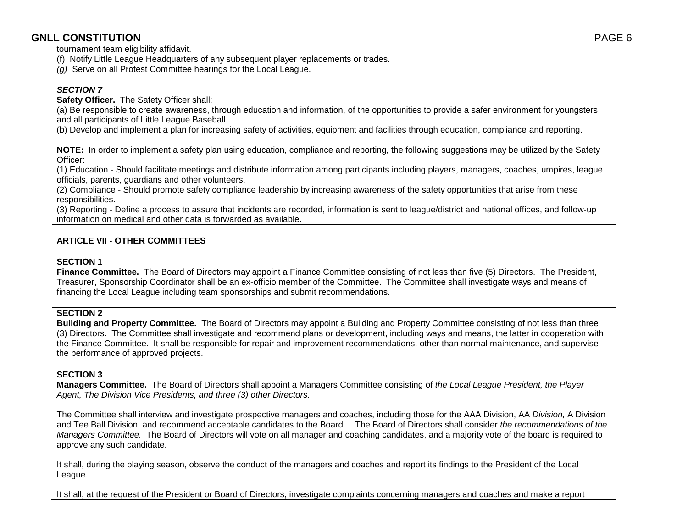tournament team eligibility affidavit.

- (f) Notify Little League Headquarters of any subsequent player replacements or trades.
- *(g)* Serve on all Protest Committee hearings for the Local League.

# *SECTION 7*

**Safety Officer.** The Safety Officer shall:

(a) Be responsible to create awareness, through education and information, of the opportunities to provide a safer environment for youngsters and all participants of Little League Baseball.

(b) Develop and implement a plan for increasing safety of activities, equipment and facilities through education, compliance and reporting.

**NOTE:** In order to implement a safety plan using education, compliance and reporting, the following suggestions may be utilized by the Safety Officer:

(1) Education - Should facilitate meetings and distribute information among participants including players, managers, coaches, umpires, league officials, parents, guardians and other volunteers.

(2) Compliance - Should promote safety compliance leadership by increasing awareness of the safety opportunities that arise from these responsibilities.

(3) Reporting - Define a process to assure that incidents are recorded, information is sent to league/district and national offices, and follow-up information on medical and other data is forwarded as available.

# **ARTICLE VII - OTHER COMMITTEES**

## **SECTION 1**

**Finance Committee.** The Board of Directors may appoint a Finance Committee consisting of not less than five (5) Directors. The President, Treasurer, Sponsorship Coordinator shall be an ex-officio member of the Committee. The Committee shall investigate ways and means of financing the Local League including team sponsorships and submit recommendations.

# **SECTION 2**

**Building and Property Committee.** The Board of Directors may appoint a Building and Property Committee consisting of not less than three (3) Directors. The Committee shall investigate and recommend plans or development, including ways and means, the latter in cooperation with the Finance Committee. It shall be responsible for repair and improvement recommendations, other than normal maintenance, and supervise the performance of approved projects.

# **SECTION 3**

**Managers Committee.** The Board of Directors shall appoint a Managers Committee consisting of *the Local League President, the Player Agent, The Division Vice Presidents, and three (3) other Directors.*

The Committee shall interview and investigate prospective managers and coaches, including those for the AAA Division, AA *Division,* A Division and Tee Ball Division, and recommend acceptable candidates to the Board. The Board of Directors shall consider *the recommendations of the Managers Committee.* The Board of Directors will vote on all manager and coaching candidates, and a majority vote of the board is required to approve any such candidate.

It shall, during the playing season, observe the conduct of the managers and coaches and report its findings to the President of the Local League.

It shall, at the request of the President or Board of Directors, investigate complaints concerning managers and coaches and make a report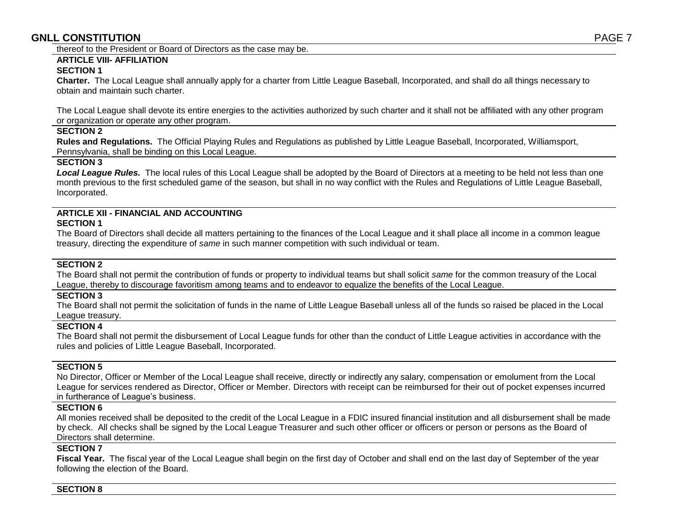thereof to the President or Board of Directors as the case may be.

# **ARTICLE VIII- AFFILIATION**

# **SECTION 1**

**Charter.** The Local League shall annually apply for a charter from Little League Baseball, Incorporated, and shall do all things necessary to obtain and maintain such charter.

The Local League shall devote its entire energies to the activities authorized by such charter and it shall not be affiliated with any other program or organization or operate any other program.

#### **SECTION 2**

**Rules and Regulations.** The Official Playing Rules and Regulations as published by Little League Baseball, Incorporated, Williamsport, Pennsylvania, shall be binding on this Local League.

## **SECTION 3**

*Local League Rules.* The local rules of this Local League shall be adopted by the Board of Directors at a meeting to be held not less than one month previous to the first scheduled game of the season, but shall in no way conflict with the Rules and Regulations of Little League Baseball, Incorporated.

### **ARTICLE XII - FINANCIAL AND ACCOUNTING SECTION 1**

The Board of Directors shall decide all matters pertaining to the finances of the Local League and it shall place all income in a common league treasury, directing the expenditure of *same* in such manner competition with such individual or team.

# **SECTION 2**

The Board shall not permit the contribution of funds or property to individual teams but shall solicit *same* for the common treasury of the Local League, thereby to discourage favoritism among teams and to endeavor to equalize the benefits of the Local League.

#### **SECTION 3**

The Board shall not permit the solicitation of funds in the name of Little League Baseball unless all of the funds so raised be placed in the Local League treasury.

## **SECTION 4**

The Board shall not permit the disbursement of Local League funds for other than the conduct of Little League activities in accordance with the rules and policies of Little League Baseball, Incorporated.

## **SECTION 5**

No Director, Officer or Member of the Local League shall receive, directly or indirectly any salary, compensation or emolument from the Local League for services rendered as Director, Officer or Member. Directors with receipt can be reimbursed for their out of pocket expenses incurred in furtherance of League's business.

#### **SECTION 6**

All monies received shall be deposited to the credit of the Local League in a FDIC insured financial institution and all disbursement shall be made by check. All checks shall be signed by the Local League Treasurer and such other officer or officers or person or persons as the Board of Directors shall determine.

## **SECTION 7**

**Fiscal Year.** The fiscal year of the Local League shall begin on the first day of October and shall end on the last day of September of the year following the election of the Board.

#### **SECTION 8**